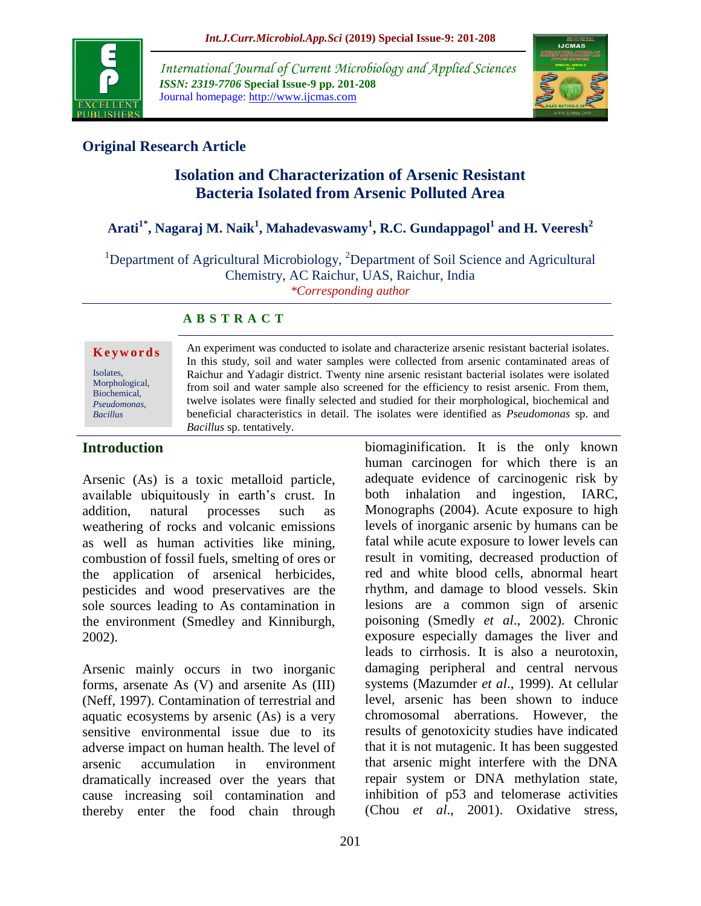

*International Journal of Current Microbiology and Applied Sciences ISSN: 2319-7706* **Special Issue-9 pp. 201-208** Journal homepage: http://www.ijcmas.com



## **Original Research Article**

# **Isolation and Characterization of Arsenic Resistant Bacteria Isolated from Arsenic Polluted Area**

# **Arati1\* , Nagaraj M. Naik<sup>1</sup> , Mahadevaswamy<sup>1</sup> , R.C. Gundappagol<sup>1</sup> and H. Veeresh<sup>2</sup>**

<sup>1</sup>Department of Agricultural Microbiology, <sup>2</sup>Department of Soil Science and Agricultural Chemistry, AC Raichur, UAS, Raichur, India *\*Corresponding author*

#### **A B S T R A C T**

#### **K e y w o r d s**

Isolates, Morphological, Biochemical, *Pseudomonas, Bacillus*

An experiment was conducted to isolate and characterize arsenic resistant bacterial isolates. In this study, soil and water samples were collected from arsenic contaminated areas of Raichur and Yadagir district. Twenty nine arsenic resistant bacterial isolates were isolated from soil and water sample also screened for the efficiency to resist arsenic. From them, twelve isolates were finally selected and studied for their morphological, biochemical and beneficial characteristics in detail. The isolates were identified as *Pseudomonas* sp. and *Bacillus* sp. tentatively.

#### **Introduction**

Arsenic (As) is a toxic metalloid particle, available ubiquitously in earth's crust. In addition, natural processes such as weathering of rocks and volcanic emissions as well as human activities like mining, combustion of fossil fuels, smelting of ores or the application of arsenical herbicides, pesticides and wood preservatives are the sole sources leading to As contamination in the environment (Smedley and Kinniburgh, 2002).

Arsenic mainly occurs in two inorganic forms, arsenate As (V) and arsenite As (III) (Neff, 1997). Contamination of terrestrial and aquatic ecosystems by arsenic (As) is a very sensitive environmental issue due to its adverse impact on human health. The level of arsenic accumulation in environment dramatically increased over the years that cause increasing soil contamination and thereby enter the food chain through biomaginification. It is the only known human carcinogen for which there is an adequate evidence of carcinogenic risk by both inhalation and ingestion, IARC, Monographs (2004). Acute exposure to high levels of inorganic arsenic by humans can be fatal while acute exposure to lower levels can result in vomiting, decreased production of red and white blood cells, abnormal heart rhythm, and damage to blood vessels. Skin lesions are a common sign of arsenic poisoning (Smedly *et al*., 2002). Chronic exposure especially damages the liver and leads to cirrhosis. It is also a neurotoxin, damaging peripheral and central nervous systems (Mazumder *et al*., 1999). At cellular level, arsenic has been shown to induce chromosomal aberrations. However, the results of genotoxicity studies have indicated that it is not mutagenic. It has been suggested that arsenic might interfere with the DNA repair system or DNA methylation state, inhibition of p53 and telomerase activities (Chou *et al*., 2001). Oxidative stress,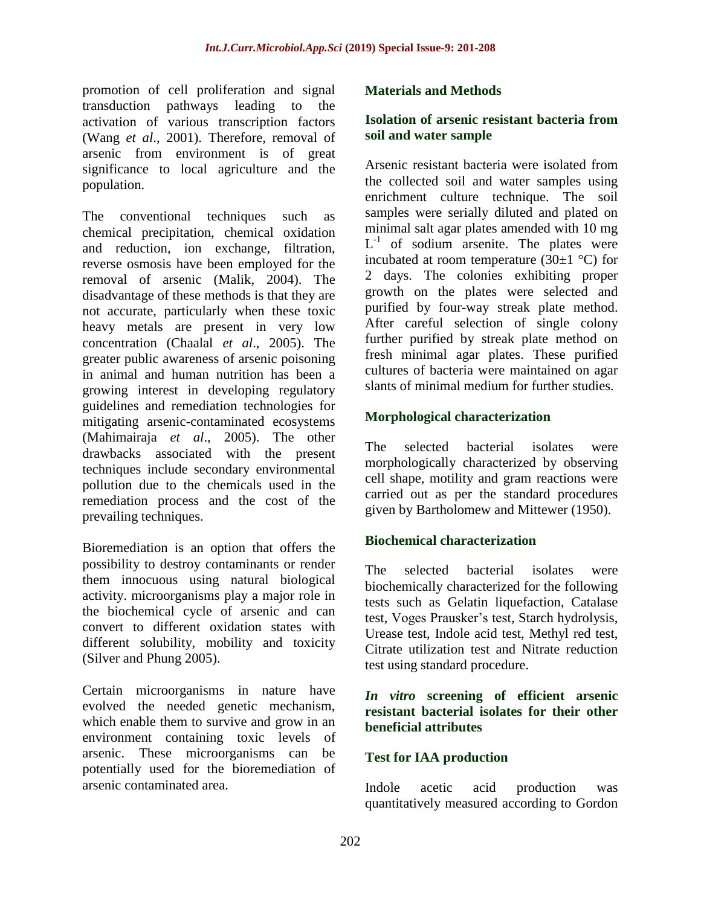promotion of cell proliferation and signal transduction pathways leading to the activation of various transcription factors (Wang *et al*., 2001). Therefore, removal of arsenic from environment is of great significance to local agriculture and the population.

The conventional techniques such as chemical precipitation, chemical oxidation and reduction, ion exchange, filtration, reverse osmosis have been employed for the removal of arsenic (Malik, 2004). The disadvantage of these methods is that they are not accurate, particularly when these toxic heavy metals are present in very low concentration (Chaalal *et al*., 2005). The greater public awareness of arsenic poisoning in animal and human nutrition has been a growing interest in developing regulatory guidelines and remediation technologies for mitigating arsenic-contaminated ecosystems (Mahimairaja *et al*., 2005). The other drawbacks associated with the present techniques include secondary environmental pollution due to the chemicals used in the remediation process and the cost of the prevailing techniques.

Bioremediation is an option that offers the possibility to destroy contaminants or render them innocuous using natural biological activity. microorganisms play a major role in the biochemical cycle of arsenic and can convert to different oxidation states with different solubility, mobility and toxicity (Silver and Phung 2005).

Certain microorganisms in nature have evolved the needed genetic mechanism, which enable them to survive and grow in an environment containing toxic levels of arsenic. These microorganisms can be potentially used for the bioremediation of arsenic contaminated area.

#### **Materials and Methods**

#### **Isolation of arsenic resistant bacteria from soil and water sample**

Arsenic resistant bacteria were isolated from the collected soil and water samples using enrichment culture technique. The soil samples were serially diluted and plated on minimal salt agar plates amended with 10 mg  $L^{-1}$  of sodium arsenite. The plates were incubated at room temperature (30 $\pm$ 1 °C) for 2 days. The colonies exhibiting proper growth on the plates were selected and purified by four-way streak plate method. After careful selection of single colony further purified by streak plate method on fresh minimal agar plates. These purified cultures of bacteria were maintained on agar slants of minimal medium for further studies.

### **Morphological characterization**

The selected bacterial isolates were morphologically characterized by observing cell shape, motility and gram reactions were carried out as per the standard procedures given by Bartholomew and Mittewer (1950).

#### **Biochemical characterization**

The selected bacterial isolates were biochemically characterized for the following tests such as Gelatin liquefaction, Catalase test, Voges Prausker's test, Starch hydrolysis, Urease test, Indole acid test, Methyl red test, Citrate utilization test and Nitrate reduction test using standard procedure.

#### *In vitro* **screening of efficient arsenic resistant bacterial isolates for their other beneficial attributes**

#### **Test for IAA production**

Indole acetic acid production was quantitatively measured according to Gordon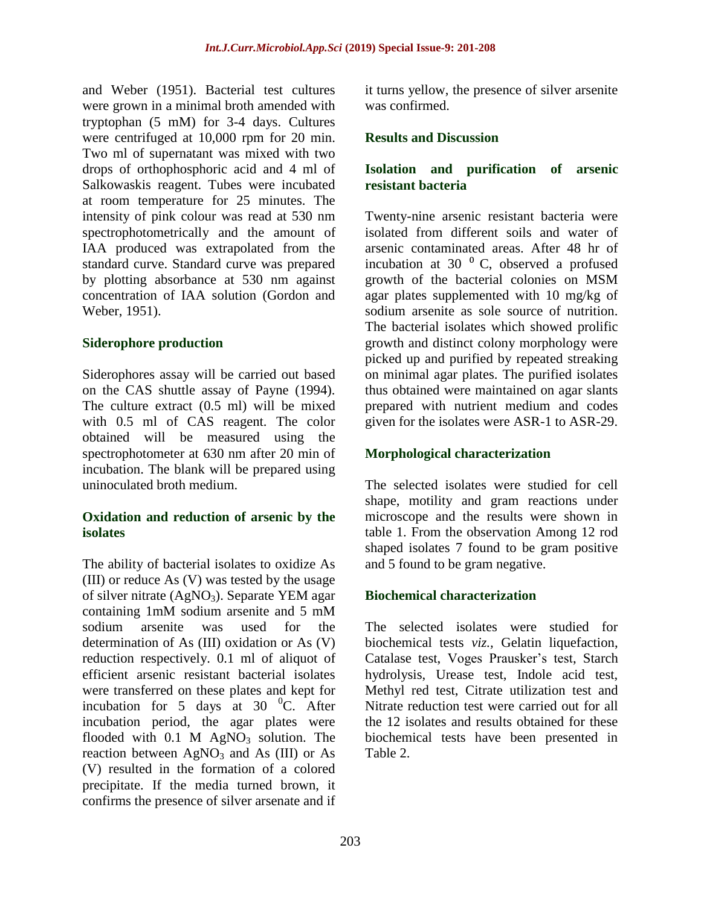and Weber (1951). Bacterial test cultures were grown in a minimal broth amended with tryptophan (5 mM) for 3-4 days. Cultures were centrifuged at 10,000 rpm for 20 min. Two ml of supernatant was mixed with two drops of orthophosphoric acid and 4 ml of Salkowaskis reagent. Tubes were incubated at room temperature for 25 minutes. The intensity of pink colour was read at 530 nm spectrophotometrically and the amount of IAA produced was extrapolated from the standard curve. Standard curve was prepared by plotting absorbance at 530 nm against concentration of IAA solution (Gordon and Weber, 1951).

#### **Siderophore production**

Siderophores assay will be carried out based on the CAS shuttle assay of Payne (1994). The culture extract (0.5 ml) will be mixed with 0.5 ml of CAS reagent. The color obtained will be measured using the spectrophotometer at 630 nm after 20 min of incubation. The blank will be prepared using uninoculated broth medium.

#### **Oxidation and reduction of arsenic by the isolates**

The ability of bacterial isolates to oxidize As (III) or reduce As (V) was tested by the usage of silver nitrate  $(AgNO<sub>3</sub>)$ . Separate YEM agar containing 1mM sodium arsenite and 5 mM sodium arsenite was used for the determination of As (III) oxidation or As (V) reduction respectively. 0.1 ml of aliquot of efficient arsenic resistant bacterial isolates were transferred on these plates and kept for incubation for 5 days at 30  $^{0}$ C. After incubation period, the agar plates were flooded with  $0.1$  M AgNO<sub>3</sub> solution. The reaction between  $AgNO<sub>3</sub>$  and As (III) or As (V) resulted in the formation of a colored precipitate. If the media turned brown, it confirms the presence of silver arsenate and if

it turns yellow, the presence of silver arsenite was confirmed.

#### **Results and Discussion**

#### **Isolation and purification of arsenic resistant bacteria**

Twenty-nine arsenic resistant bacteria were isolated from different soils and water of arsenic contaminated areas. After 48 hr of incubation at 30 $\degree$  C, observed a profused growth of the bacterial colonies on MSM agar plates supplemented with 10 mg/kg of sodium arsenite as sole source of nutrition. The bacterial isolates which showed prolific growth and distinct colony morphology were picked up and purified by repeated streaking on minimal agar plates. The purified isolates thus obtained were maintained on agar slants prepared with nutrient medium and codes given for the isolates were ASR-1 to ASR-29.

#### **Morphological characterization**

The selected isolates were studied for cell shape, motility and gram reactions under microscope and the results were shown in table 1. From the observation Among 12 rod shaped isolates 7 found to be gram positive and 5 found to be gram negative.

#### **Biochemical characterization**

The selected isolates were studied for biochemical tests *viz.,* Gelatin liquefaction, Catalase test, Voges Prausker's test, Starch hydrolysis, Urease test, Indole acid test, Methyl red test, Citrate utilization test and Nitrate reduction test were carried out for all the 12 isolates and results obtained for these biochemical tests have been presented in Table 2.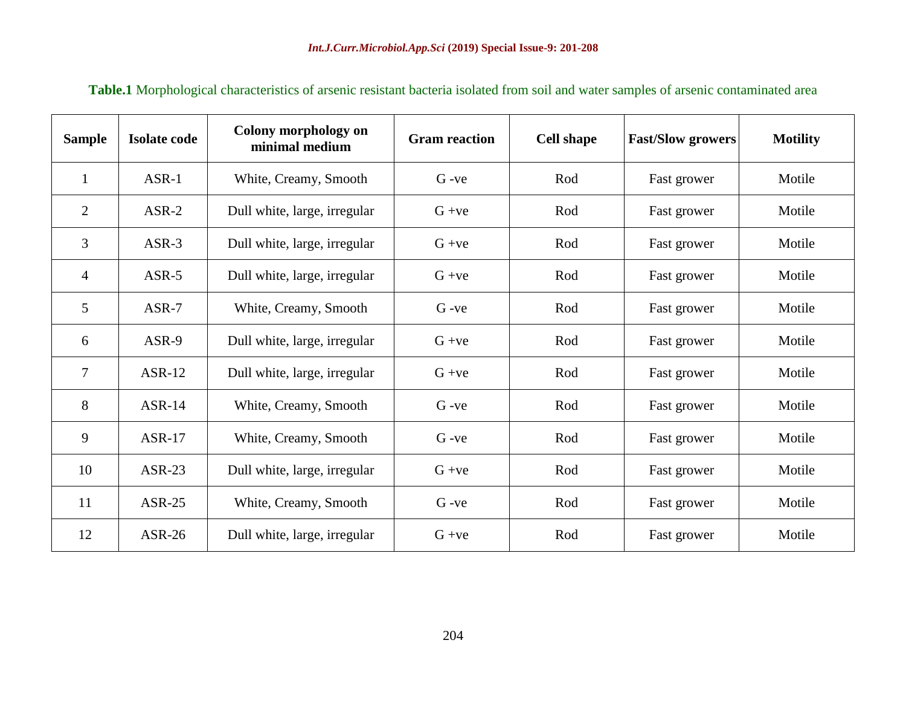| <b>Sample</b>  | <b>Isolate code</b> | Colony morphology on<br>minimal medium | <b>Gram</b> reaction | <b>Cell shape</b> | <b>Fast/Slow growers</b> | <b>Motility</b> |
|----------------|---------------------|----------------------------------------|----------------------|-------------------|--------------------------|-----------------|
| 1              | $ASR-1$             | White, Creamy, Smooth                  | $G -ve$              | Rod               | Fast grower              | Motile          |
| $\overline{2}$ | $ASR-2$             | Dull white, large, irregular           | $G +ve$              | Rod               | Fast grower              | Motile          |
| 3              | $ASR-3$             | Dull white, large, irregular           | $G + ve$             | Rod               | Fast grower              | Motile          |
| $\overline{4}$ | $ASR-5$             | Dull white, large, irregular           | $G + ve$             | Rod               | Fast grower              | Motile          |
| 5              | $ASR-7$             | White, Creamy, Smooth                  | $G -ve$              | Rod               | Fast grower              | Motile          |
| 6              | ASR-9               | Dull white, large, irregular           | $G + ve$             | Rod               | Fast grower              | Motile          |
| $\overline{7}$ | $ASR-12$            | Dull white, large, irregular           | $G + ve$             | Rod               | Fast grower              | Motile          |
| 8              | $ASR-14$            | White, Creamy, Smooth                  | $G -ve$              | Rod               | Fast grower              | Motile          |
| 9              | $ASR-17$            | White, Creamy, Smooth                  | $G -ve$              | Rod               | Fast grower              | Motile          |
| 10             | $ASR-23$            | Dull white, large, irregular           | $G + ve$             | Rod               | Fast grower              | Motile          |
| 11             | $ASR-25$            | White, Creamy, Smooth                  | $G -ve$              | Rod               | Fast grower              | Motile          |
| 12             | $ASR-26$            | Dull white, large, irregular           | $G + ve$             | Rod               | Fast grower              | Motile          |

**Table.1** Morphological characteristics of arsenic resistant bacteria isolated from soil and water samples of arsenic contaminated area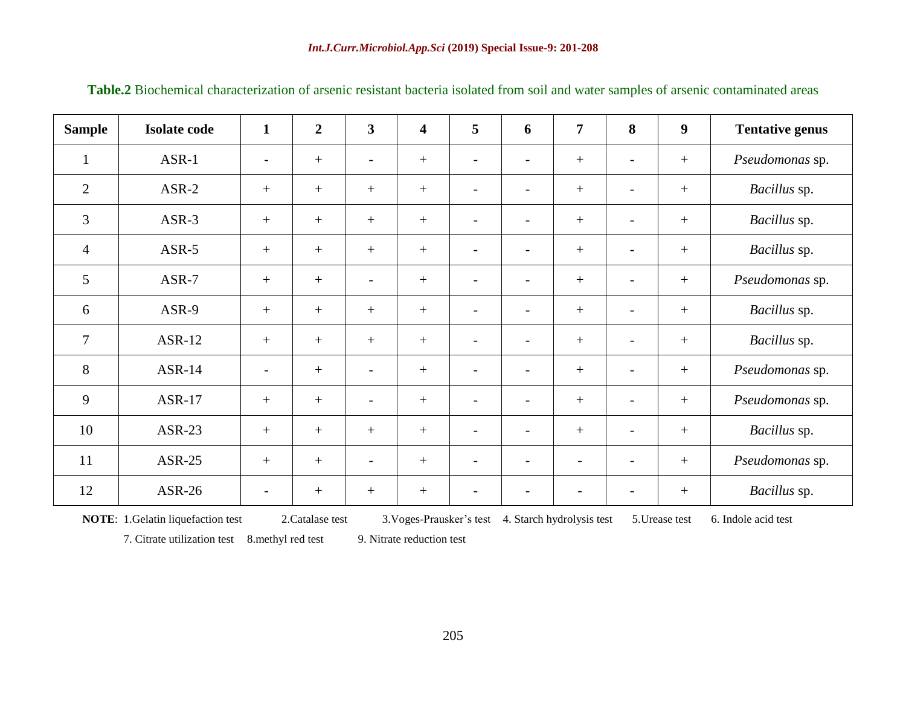| <b>Sample</b>  | <b>Isolate code</b> | $\mathbf{1}$             | $\overline{2}$ | $\mathbf{3}$             | $\overline{\mathbf{4}}$ | 5                        | 6                        | $\overline{7}$           | 8                        | $\boldsymbol{9}$ | <b>Tentative genus</b> |
|----------------|---------------------|--------------------------|----------------|--------------------------|-------------------------|--------------------------|--------------------------|--------------------------|--------------------------|------------------|------------------------|
| $\mathbf{1}$   | $ASR-1$             | $\overline{\phantom{a}}$ | $^{+}$         | $\overline{\phantom{a}}$ | $^{+}$                  | $\overline{\phantom{a}}$ | $\overline{\phantom{a}}$ | $+$                      | $\overline{\phantom{a}}$ | $^{+}$           | Pseudomonas sp.        |
| 2              | $ASR-2$             | $+$                      | $^{+}$         | $+$                      |                         | $\overline{\phantom{a}}$ | $\qquad \qquad$          |                          | $\overline{\phantom{a}}$ | $^{+}$           | Bacillus sp.           |
| 3              | $ASR-3$             | $+$                      | $^{+}$         | $+$                      |                         | $\overline{\phantom{a}}$ | $\overline{\phantom{a}}$ | $+$                      | $\overline{\phantom{a}}$ | $+$              | Bacillus sp.           |
| $\overline{4}$ | $ASR-5$             | $+$                      | $^{+}$         | $+$                      | $^{+}$                  | $\overline{\phantom{a}}$ | $\overline{\phantom{a}}$ | $^{+}$                   | $\overline{\phantom{a}}$ | $^{+}$           | Bacillus sp.           |
| 5              | $ASR-7$             | $+$                      |                | $\overline{\phantom{a}}$ | $\boldsymbol{+}$        | $\overline{\phantom{a}}$ | $\overline{a}$           | $^{+}$                   | $\overline{\phantom{a}}$ | $+$              | Pseudomonas sp.        |
| 6              | ASR-9               | $+$                      | $+$            | $+$                      | $\boldsymbol{+}$        | $\overline{\phantom{a}}$ | $\overline{\phantom{a}}$ | $^{+}$                   | $\overline{\phantom{a}}$ | $+$              | Bacillus sp.           |
| $\tau$         | <b>ASR-12</b>       | $+$                      | $^{+}$         | $+$                      | $\boldsymbol{+}$        | $\overline{\phantom{a}}$ | $\overline{\phantom{a}}$ | $^{+}$                   | $\overline{\phantom{a}}$ | $^{+}$           | Bacillus sp.           |
| 8              | $ASR-14$            | $\overline{\phantom{a}}$ | $^{+}$         | $\overline{\phantom{a}}$ | $^{+}$                  | $\overline{\phantom{a}}$ | $\overline{\phantom{0}}$ | $^{+}$                   | $\overline{\phantom{a}}$ | $^{+}$           | Pseudomonas sp.        |
| 9              | <b>ASR-17</b>       | $+$                      | $+$            | $\overline{\phantom{a}}$ |                         | $\blacksquare$           | $\overline{\phantom{a}}$ | $+$                      | $\overline{\phantom{a}}$ | $^{+}$           | Pseudomonas sp.        |
| 10             | $ASR-23$            | $+$                      | $^{+}$         | $+$                      | $+$                     | $\overline{\phantom{a}}$ | $\overline{\phantom{a}}$ | $+$                      | $\overline{\phantom{a}}$ | $+$              | Bacillus sp.           |
| 11             | $ASR-25$            | $+$                      |                | $\overline{\phantom{a}}$ |                         | $\overline{\phantom{a}}$ | $\qquad \qquad$          | $\overline{\phantom{0}}$ | $\overline{\phantom{a}}$ | $^{+}$           | Pseudomonas sp.        |
| 12             | ASR-26              | $\qquad \qquad -$        | $^{+}$         | $+$                      |                         | $\overline{\phantom{a}}$ | $\qquad \qquad$          |                          |                          | $+$              | Bacillus sp.           |

**Table.2** Biochemical characterization of arsenic resistant bacteria isolated from soil and water samples of arsenic contaminated areas

**NOTE**: 1. Gelatin liquefaction test 2. Catalase test 3. Voges-Prausker's test 4. Starch hydrolysis test 5. Urease test 6. Indole acid test

7. Citrate utilization test 8.methyl red test 9. Nitrate reduction test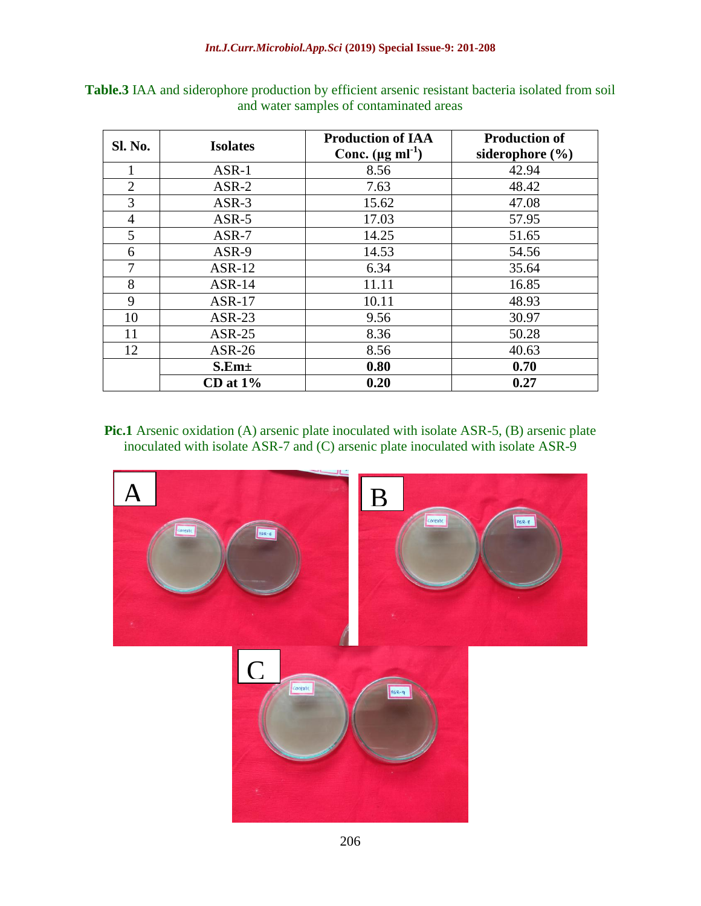| Sl. No.        | <b>Isolates</b> | <b>Production of IAA</b>        | <b>Production of</b> |  |  |
|----------------|-----------------|---------------------------------|----------------------|--|--|
|                |                 | Conc. $(\mu g \text{ ml}^{-1})$ | siderophore $(\% )$  |  |  |
|                | $ASR-1$         | 8.56                            | 42.94                |  |  |
| $\overline{2}$ | $ASR-2$         | 7.63                            | 48.42                |  |  |
| 3              | $ASR-3$         | 15.62                           | 47.08                |  |  |
| $\overline{4}$ | $ASR-5$         | 17.03                           | 57.95                |  |  |
| 5              | $ASR-7$         | 14.25                           | 51.65                |  |  |
| 6              | ASR-9           | 14.53                           | 54.56                |  |  |
| 7              | $ASR-12$        | 6.34                            | 35.64                |  |  |
| 8              | $ASR-14$        | 11.11                           | 16.85                |  |  |
| 9              | $ASR-17$        | 10.11                           | 48.93                |  |  |
| 10             | $ASR-23$        | 9.56                            | 30.97                |  |  |
| 11             | $ASR-25$        | 8.36                            | 50.28                |  |  |
| 12             | $ASR-26$        | 8.56                            | 40.63                |  |  |
|                | $S.Em\pm$       | 0.80                            | 0.70                 |  |  |
|                | $CD$ at $1\%$   | 0.20                            | 0.27                 |  |  |

**Table.3** IAA and siderophore production by efficient arsenic resistant bacteria isolated from soil and water samples of contaminated areas

**Pic.1** Arsenic oxidation (A) arsenic plate inoculated with isolate ASR-5, (B) arsenic plate inoculated with isolate ASR-7 and (C) arsenic plate inoculated with isolate ASR-9

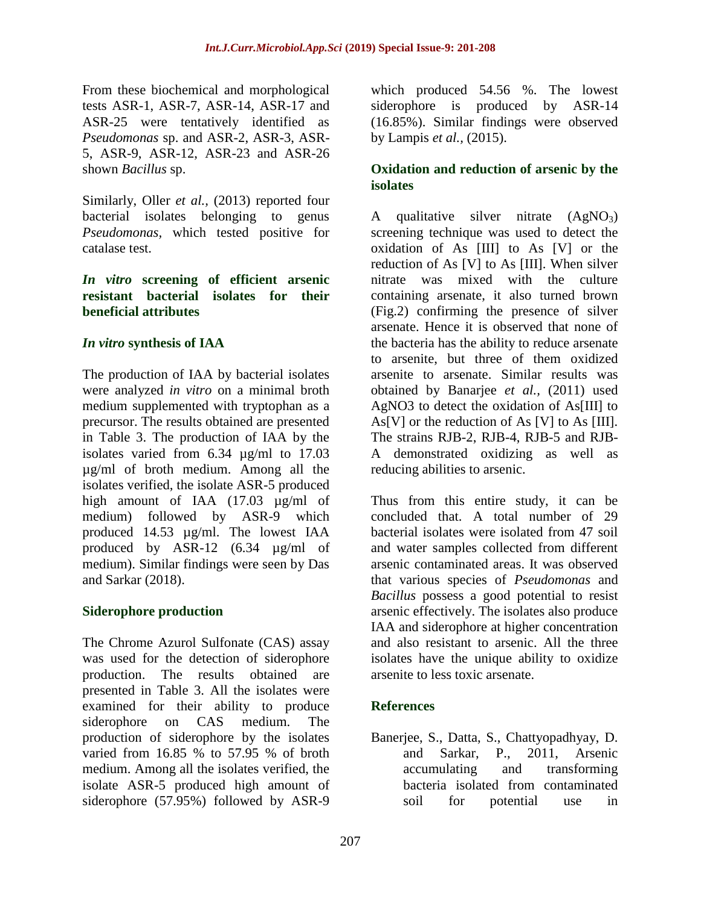From these biochemical and morphological tests ASR-1, ASR-7, ASR-14, ASR-17 and ASR-25 were tentatively identified as *Pseudomonas* sp. and ASR-2, ASR-3, ASR-5, ASR-9, ASR-12, ASR-23 and ASR-26 shown *Bacillus* sp.

Similarly, Oller *et al.,* (2013) reported four bacterial isolates belonging to genus *Pseudomonas,* which tested positive for catalase test.

#### *In vitro* **screening of efficient arsenic resistant bacterial isolates for their beneficial attributes**

#### *In vitro* **synthesis of IAA**

The production of IAA by bacterial isolates were analyzed *in vitro* on a minimal broth medium supplemented with tryptophan as a precursor. The results obtained are presented in Table 3. The production of IAA by the isolates varied from 6.34 µg/ml to 17.03 µg/ml of broth medium. Among all the isolates verified, the isolate ASR-5 produced high amount of IAA (17.03 µg/ml of medium) followed by ASR-9 which produced 14.53 µg/ml. The lowest IAA produced by ASR-12 (6.34 µg/ml of medium). Similar findings were seen by Das and Sarkar (2018).

#### **Siderophore production**

The Chrome Azurol Sulfonate (CAS) assay was used for the detection of siderophore production. The results obtained are presented in Table 3. All the isolates were examined for their ability to produce siderophore on CAS medium. The production of siderophore by the isolates varied from 16.85 % to 57.95 % of broth medium. Among all the isolates verified, the isolate ASR-5 produced high amount of siderophore (57.95%) followed by ASR-9

which produced 54.56 %. The lowest siderophore is produced by ASR-14 (16.85%). Similar findings were observed by Lampis *et al.,* (2015).

#### **Oxidation and reduction of arsenic by the isolates**

A qualitative silver nitrate  $(AgNO<sub>3</sub>)$ screening technique was used to detect the oxidation of As [III] to As [V] or the reduction of As [V] to As [III]. When silver nitrate was mixed with the culture containing arsenate, it also turned brown (Fig.2) confirming the presence of silver arsenate. Hence it is observed that none of the bacteria has the ability to reduce arsenate to arsenite, but three of them oxidized arsenite to arsenate. Similar results was obtained by Banarjee *et al.,* (2011) used AgNO3 to detect the oxidation of As[III] to As[V] or the reduction of As [V] to As [III]. The strains RJB-2, RJB-4, RJB-5 and RJB-A demonstrated oxidizing as well as reducing abilities to arsenic.

Thus from this entire study, it can be concluded that. A total number of 29 bacterial isolates were isolated from 47 soil and water samples collected from different arsenic contaminated areas. It was observed that various species of *Pseudomonas* and *Bacillus* possess a good potential to resist arsenic effectively. The isolates also produce IAA and siderophore at higher concentration and also resistant to arsenic. All the three isolates have the unique ability to oxidize arsenite to less toxic arsenate.

#### **References**

Banerjee, S., Datta, S., Chattyopadhyay, D. and Sarkar, P., 2011, Arsenic accumulating and transforming bacteria isolated from contaminated soil for potential use in